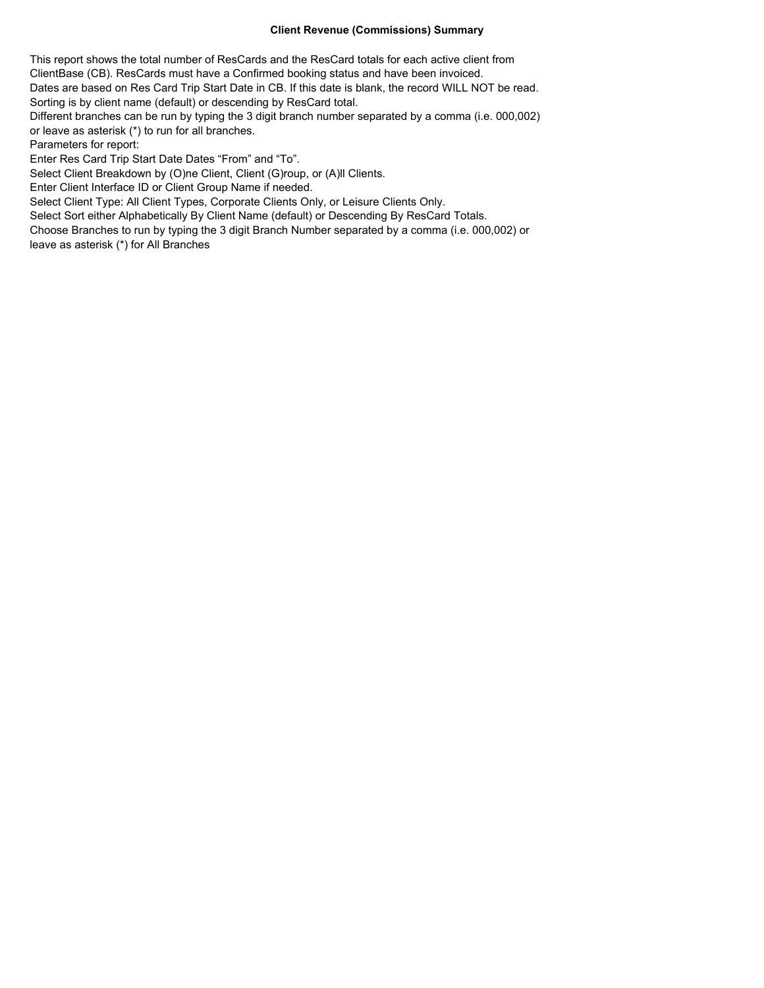## **Client Revenue (Commissions) Summary**

This report shows the total number of ResCards and the ResCard totals for each active client from ClientBase (CB). ResCards must have a Confirmed booking status and have been invoiced. Dates are based on Res Card Trip Start Date in CB. If this date is blank, the record WILL NOT be read. Sorting is by client name (default) or descending by ResCard total.

Different branches can be run by typing the 3 digit branch number separated by a comma (i.e. 000,002) or leave as asterisk (\*) to run for all branches.

Parameters for report:

Enter Res Card Trip Start Date Dates "From" and "To".

Select Client Breakdown by (O)ne Client, Client (G)roup, or (A)Il Clients.

Enter Client Interface ID or Client Group Name if needed.

Select Client Type: All Client Types, Corporate Clients Only, or Leisure Clients Only.

Select Sort either Alphabetically By Client Name (default) or Descending By ResCard Totals.

Choose Branches to run by typing the 3 digit Branch Number separated by a comma (i.e. 000,002) or leave as asterisk (\*) for All Branches